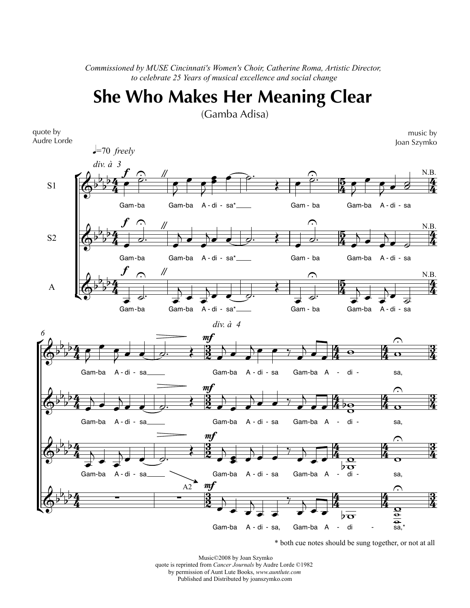*Commissioned by MUSE Cincinnati's Women's Choir, Catherine Roma, Artistic Director, to celebrate 25 Years of musical excellence and social change*

## **She Who Makes Her Meaning Clear**



(Gamba Adisa)

\* both cue notes should be sung together, or not at all

 Music©2008 by Joan Szymko quote is reprinted from *Cancer Journals* by Audre Lorde ©1982 by permission of Aunt Lute Books, *www.auntlute.com* Published and Distributed by joanszymko.com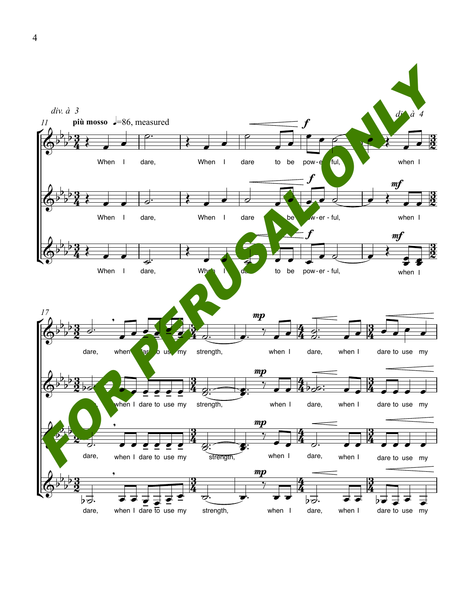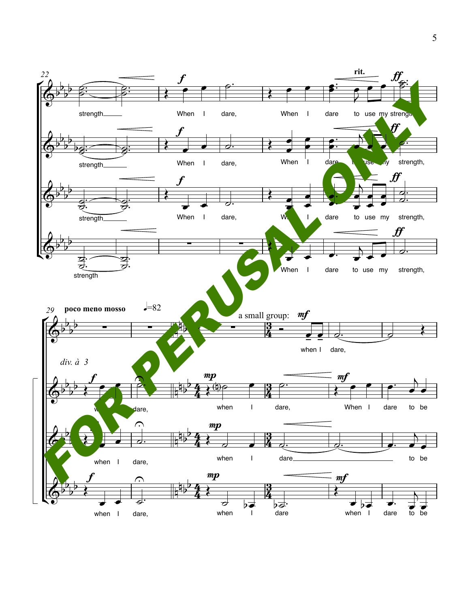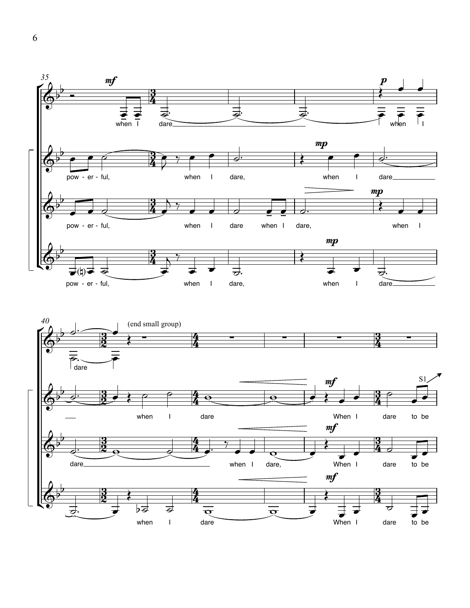

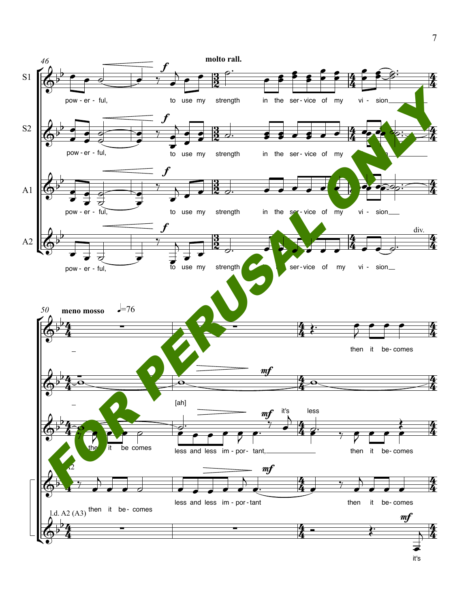

<sup>7</sup>

it's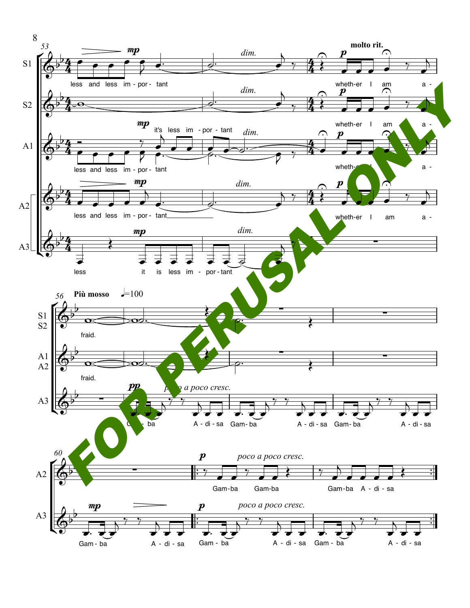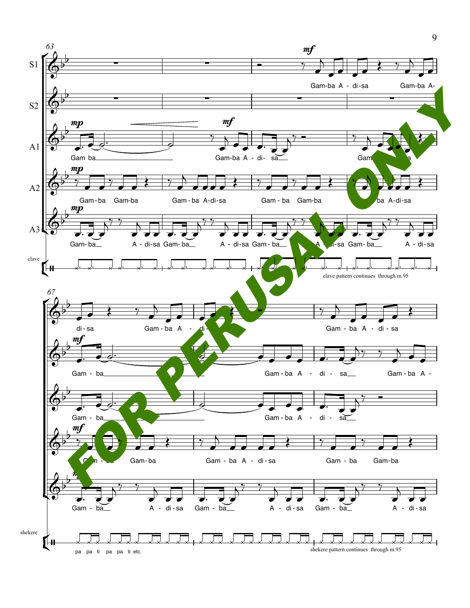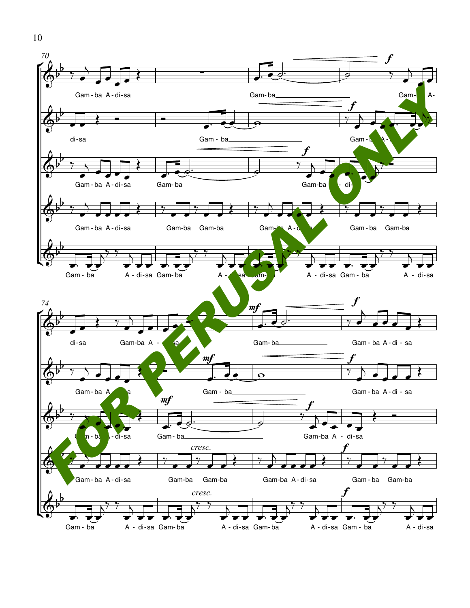

<sup>10</sup>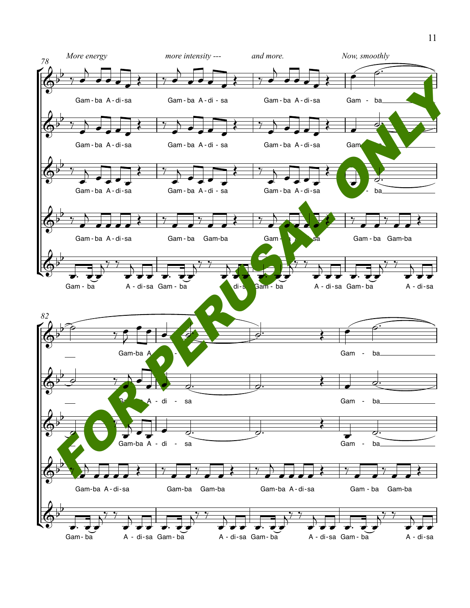